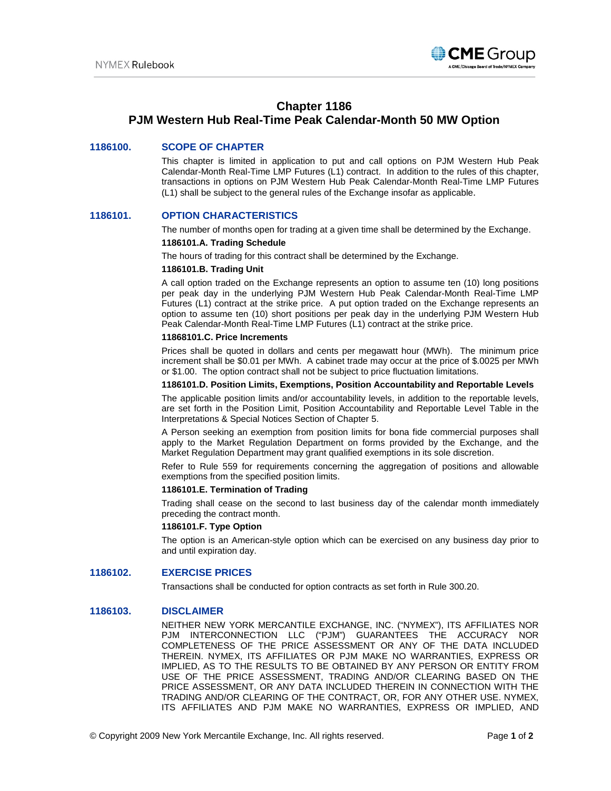

## **Chapter 1186**

# **PJM Western Hub Real-Time Peak Calendar-Month 50 MW Option**

## **1186100. SCOPE OF CHAPTER**

This chapter is limited in application to put and call options on PJM Western Hub Peak Calendar-Month Real-Time LMP Futures (L1) contract. In addition to the rules of this chapter, transactions in options on PJM Western Hub Peak Calendar-Month Real-Time LMP Futures (L1) shall be subject to the general rules of the Exchange insofar as applicable.

## **1186101. OPTION CHARACTERISTICS**

The number of months open for trading at a given time shall be determined by the Exchange. **1186101.A. Trading Schedule**

# The hours of trading for this contract shall be determined by the Exchange.

#### **1186101.B. Trading Unit**

A call option traded on the Exchange represents an option to assume ten (10) long positions per peak day in the underlying PJM Western Hub Peak Calendar-Month Real-Time LMP Futures (L1) contract at the strike price. A put option traded on the Exchange represents an option to assume ten (10) short positions per peak day in the underlying PJM Western Hub Peak Calendar-Month Real-Time LMP Futures (L1) contract at the strike price.

#### **11868101.C. Price Increments**

Prices shall be quoted in dollars and cents per megawatt hour (MWh). The minimum price increment shall be \$0.01 per MWh. A cabinet trade may occur at the price of \$.0025 per MWh or \$1.00. The option contract shall not be subject to price fluctuation limitations.

#### **1186101.D. Position Limits, Exemptions, Position Accountability and Reportable Levels**

The applicable position limits and/or accountability levels, in addition to the reportable levels, are set forth in the Position Limit, Position Accountability and Reportable Level Table in the Interpretations & Special Notices Section of Chapter 5.

A Person seeking an exemption from position limits for bona fide commercial purposes shall apply to the Market Regulation Department on forms provided by the Exchange, and the Market Regulation Department may grant qualified exemptions in its sole discretion.

Refer to Rule 559 for requirements concerning the aggregation of positions and allowable exemptions from the specified position limits.

## **1186101.E. Termination of Trading**

Trading shall cease on the second to last business day of the calendar month immediately preceding the contract month.

#### **1186101.F. Type Option**

The option is an American-style option which can be exercised on any business day prior to and until expiration day.

## **1186102. EXERCISE PRICES**

Transactions shall be conducted for option contracts as set forth in Rule 300.20.

### **1186103. DISCLAIMER**

NEITHER NEW YORK MERCANTILE EXCHANGE, INC. ("NYMEX"), ITS AFFILIATES NOR PJM INTERCONNECTION LLC ("PJM") GUARANTEES THE ACCURACY NOR COMPLETENESS OF THE PRICE ASSESSMENT OR ANY OF THE DATA INCLUDED THEREIN. NYMEX, ITS AFFILIATES OR PJM MAKE NO WARRANTIES, EXPRESS OR IMPLIED, AS TO THE RESULTS TO BE OBTAINED BY ANY PERSON OR ENTITY FROM USE OF THE PRICE ASSESSMENT, TRADING AND/OR CLEARING BASED ON THE PRICE ASSESSMENT, OR ANY DATA INCLUDED THEREIN IN CONNECTION WITH THE TRADING AND/OR CLEARING OF THE CONTRACT, OR, FOR ANY OTHER USE. NYMEX, ITS AFFILIATES AND PJM MAKE NO WARRANTIES, EXPRESS OR IMPLIED, AND